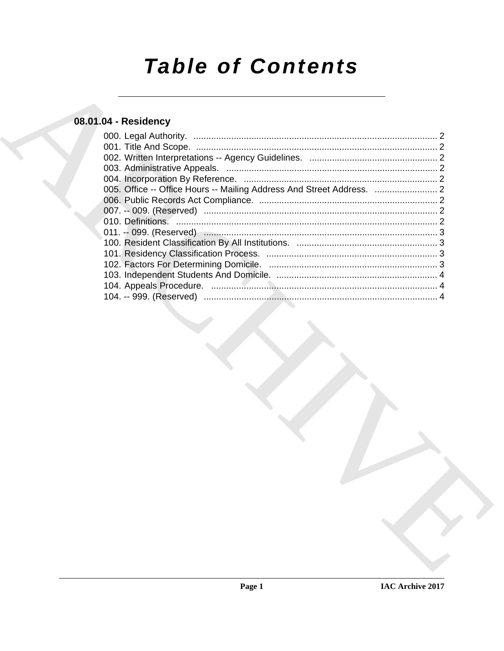# **Table of Contents**

# 08.01.04 - Residency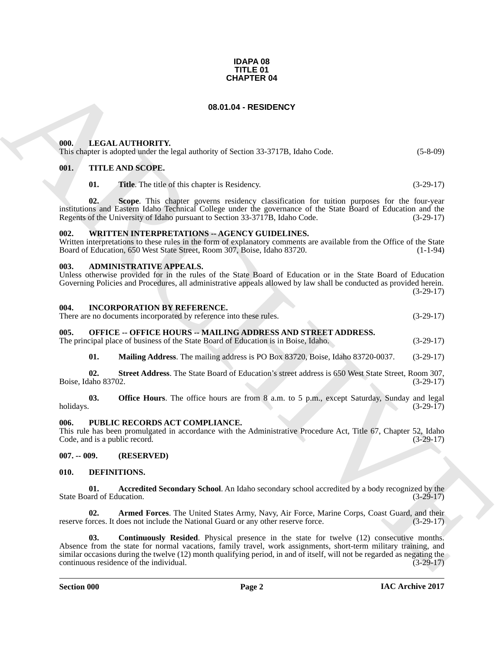#### **IDAPA 08 TITLE 01 CHAPTER 04**

#### **08.01.04 - RESIDENCY**

#### <span id="page-1-1"></span><span id="page-1-0"></span>**000. LEGAL AUTHORITY.**

This chapter is adopted under the legal authority of Section 33-3717B, Idaho Code. (5-8-09)

#### <span id="page-1-2"></span>**001. TITLE AND SCOPE.**

**01.** Title. The title of this chapter is Residency. (3-29-17)

**02. Scope**. This chapter governs residency classification for tuition purposes for the four-year institutions and Eastern Idaho Technical College under the governance of the State Board of Education and the Regents of the University of Idaho pursuant to Section 33-3717B, Idaho Code.

#### <span id="page-1-3"></span>**002. WRITTEN INTERPRETATIONS -- AGENCY GUIDELINES.**

Written interpretations to these rules in the form of explanatory comments are available from the Office of the State<br>Board of Education, 650 West State Street, Room 307, Boise, Idaho 83720. Board of Education, 650 West State Street, Room 307, Boise, Idaho 83720.

#### <span id="page-1-4"></span>**003. ADMINISTRATIVE APPEALS.**

Unless otherwise provided for in the rules of the State Board of Education or in the State Board of Education Governing Policies and Procedures, all administrative appeals allowed by law shall be conducted as provided herein. (3-29-17)

#### <span id="page-1-5"></span>**004. INCORPORATION BY REFERENCE.**

There are no documents incorporated by reference into these rules. (3-29-17)

#### <span id="page-1-6"></span>**005. OFFICE -- OFFICE HOURS -- MAILING ADDRESS AND STREET ADDRESS.**

The principal place of business of the State Board of Education is in Boise, Idaho. (3-29-17)

**01. Mailing Address**. The mailing address is PO Box 83720, Boise, Idaho 83720-0037. (3-29-17)

**02. Street Address**. The State Board of Education's street address is 650 West State Street, Room 307, Boise, Idaho 83702. (3-29-17)

**03. Office Hours**. The office hours are from 8 a.m. to 5 p.m., except Saturday, Sunday and legal holidays. (3-29-17) holidays. (3-29-17)

#### <span id="page-1-7"></span>**006. PUBLIC RECORDS ACT COMPLIANCE.**

This rule has been promulgated in accordance with the Administrative Procedure Act, Title 67, Chapter 52, Idaho Code, and is a public record. (3-29-17)

## <span id="page-1-8"></span>**007. -- 009. (RESERVED)**

#### <span id="page-1-9"></span>**010. DEFINITIONS.**

<span id="page-1-10"></span>**01.** Accredited Secondary School. An Idaho secondary school accredited by a body recognized by the ard of Education. (3-29-17) State Board of Education.

<span id="page-1-12"></span><span id="page-1-11"></span>**02. Armed Forces**. The United States Army, Navy, Air Force, Marine Corps, Coast Guard, and their orces. It does not include the National Guard or any other reserve force. reserve forces. It does not include the National Guard or any other reserve force.

**CHAPTER 04**<br> **CHARCHIVE CONTINUEST**<br> **CHARCHIVE CONTINUEST**<br> **CHARCHIVE CONTINUEST**<br> **CHARCHIVE CONTINUEST CONTINUEST (SEE ON ACTION AND CONTINUEST CONTINUEST CONTINUEST CONTINUEST CONTINUEST CONTINUEST (SEE ON A CONTINU 03. Continuously Resided**. Physical presence in the state for twelve (12) consecutive months. Absence from the state for normal vacations, family travel, work assignments, short-term military training, and similar occasions during the twelve (12) month qualifying period, in and of itself, will not be regarded as negating the continuous residence of the individual. (3-29-17) continuous residence of the individual.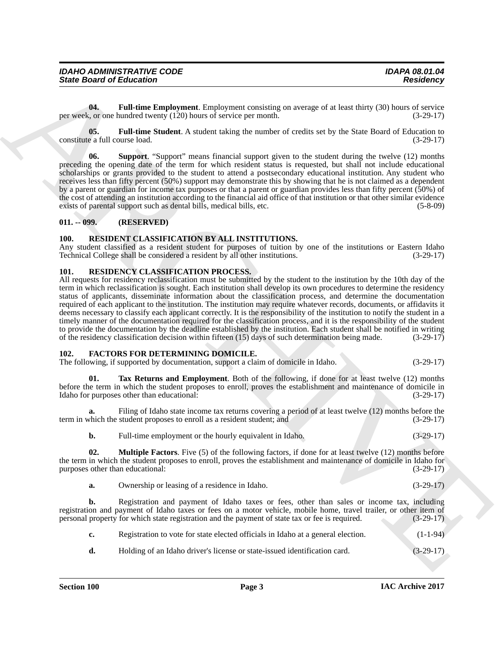| <b>IDAHO ADMINISTRATIVE CODE</b> | <b>IDAPA 08.01.04</b> |
|----------------------------------|-----------------------|
|                                  |                       |
| <b>State Board of Education</b>  | <b>Residency</b>      |
|                                  |                       |
|                                  |                       |

<span id="page-2-4"></span>**04. Full-time Employment**. Employment consisting on average of at least thirty (30) hours of service per week, or one hundred twenty (120) hours of service per month. (3-29-17)

<span id="page-2-5"></span>**05. Full-time Student**. A student taking the number of credits set by the State Board of Education to constitute a full course load. (3-29-17)

<span id="page-2-6"></span>**06. Support**. "Support" means financial support given to the student during the twelve (12) months preceding the opening date of the term for which resident status is requested, but shall not include educational scholarships or grants provided to the student to attend a postsecondary educational institution. Any student who receives less than fifty percent (50%) support may demonstrate this by showing that he is not claimed as a dependent by a parent or guardian for income tax purposes or that a parent or guardian provides less than fifty percent (50%) of the cost of attending an institution according to the financial aid office of that institution or that other similar evidence exists of parental support such as dental bills, medical bills, etc. (5-8-09)

#### <span id="page-2-0"></span>**011. -- 099. (RESERVED)**

#### <span id="page-2-11"></span><span id="page-2-1"></span>**100. RESIDENT CLASSIFICATION BY ALL INSTITUTIONS.**

Any student classified as a resident student for purposes of tuition by one of the institutions or Eastern Idaho Technical College shall be considered a resident by all other institutions. (3-29-17)

#### <span id="page-2-10"></span><span id="page-2-2"></span>**101. RESIDENCY CLASSIFICATION PROCESS.**

Since Board of Enkoration<br>
Until the European Constrainers in a proporate consisting on everage of all seat third (30 boars) of section<br>
For some state of the European Constrainers in the section of the European Constrain All requests for residency reclassification must be submitted by the student to the institution by the 10th day of the term in which reclassification is sought. Each institution shall develop its own procedures to determine the residency status of applicants, disseminate information about the classification process, and determine the documentation required of each applicant to the institution. The institution may require whatever records, documents, or affidavits it deems necessary to classify each applicant correctly. It is the responsibility of the institution to notify the student in a timely manner of the documentation required for the classification process, and it is the responsibility of the student to provide the documentation by the deadline established by the institution. Each student shall be notified in writing of the residency classification decision within fifteen (15) days of such determination being made. (3-29-17)

#### <span id="page-2-7"></span><span id="page-2-3"></span>**102. FACTORS FOR DETERMINING DOMICILE.**

The following, if supported by documentation, support a claim of domicile in Idaho. (3-29-17)

<span id="page-2-9"></span>**01. Tax Returns and Employment**. Both of the following, if done for at least twelve (12) months before the term in which the student proposes to enroll, proves the establishment and maintenance of domicile in Idaho for purposes other than educational: (3-29-17)

Filing of Idaho state income tax returns covering a period of at least twelve (12) months before the student proposes to enroll as a resident student; and (3-29-17) term in which the student proposes to enroll as a resident student; and

<span id="page-2-8"></span>

| b. | Full-time employment or the hourly equivalent in Idaho. |  | $(3-29-17)$ |  |
|----|---------------------------------------------------------|--|-------------|--|
|----|---------------------------------------------------------|--|-------------|--|

**02. Multiple Factors**. Five (5) of the following factors, if done for at least twelve (12) months before the term in which the student proposes to enroll, proves the establishment and maintenance of domicile in Idaho for<br>(3-29-17) (3-29-17) purposes other than educational:

|  | Ownership or leasing of a residence in Idaho. |  | $(3-29-17)$ |
|--|-----------------------------------------------|--|-------------|
|--|-----------------------------------------------|--|-------------|

**b.** Registration and payment of Idaho taxes or fees, other than sales or income tax, including registration and payment of Idaho taxes or fees on a motor vehicle, mobile home, travel trailer, or other item of personal property for which state registration and the payment of state tax or fee is required. (3-29-17)

| Registration to vote for state elected officials in Idaho at a general election. | $(1-1-94)$ |
|----------------------------------------------------------------------------------|------------|
|----------------------------------------------------------------------------------|------------|

**d.** Holding of an Idaho driver's license or state-issued identification card.  $(3-29-17)$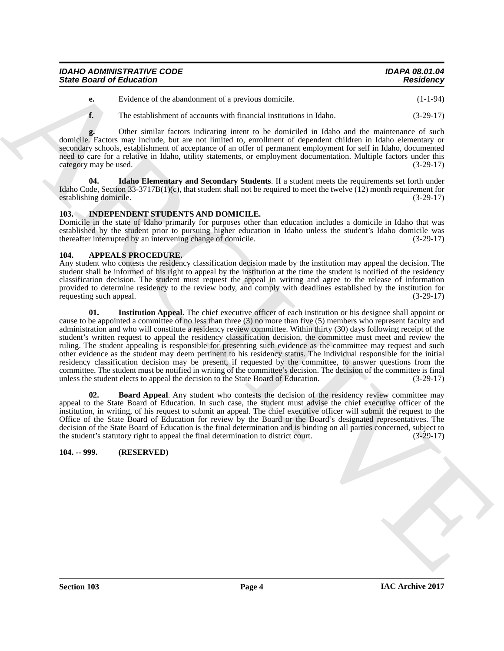| <b>IDAHO ADMINISTRATIVE CODE</b> | <b>IDAPA 08.01.04</b> |
|----------------------------------|-----------------------|
| <b>State Board of Education</b>  | <b>Residency</b>      |

**e.** Evidence of the abandonment of a previous domicile. (1-1-94)

**f.** The establishment of accounts with financial institutions in Idaho. (3-29-17)

**g.** Other similar factors indicating intent to be domiciled in Idaho and the maintenance of such domicile. Factors may include, but are not limited to, enrollment of dependent children in Idaho elementary or secondary schools, establishment of acceptance of an offer of permanent employment for self in Idaho, documented need to care for a relative in Idaho, utility statements, or employment documentation. Multiple factors under this  $\alpha$  category may be used.  $(3-29-17)$ 

<span id="page-3-6"></span>**04. Idaho Elementary and Secondary Students**. If a student meets the requirements set forth under Idaho Code, Section 33-3717B(1)(c), that student shall not be required to meet the twelve (12) month requirement for establishing domicile.  $(3-29-17)$ establishing domicile.

# <span id="page-3-7"></span><span id="page-3-0"></span>**103. INDEPENDENT STUDENTS AND DOMICILE.**

Domicile in the state of Idaho primarily for purposes other than education includes a domicile in Idaho that was established by the student prior to pursuing higher education in Idaho unless the student's Idaho domicile was thereafter interrupted by an intervening change of domicile. (3-29-17) thereafter interrupted by an intervening change of domicile.

### <span id="page-3-3"></span><span id="page-3-1"></span>**104. APPEALS PROCEDURE.**

<span id="page-3-5"></span>Any student who contests the residency classification decision made by the institution may appeal the decision. The student shall be informed of his right to appeal by the institution at the time the student is notified of the residency classification decision. The student must request the appeal in writing and agree to the release of information provided to determine residency to the review body, and comply with deadlines established by the institution for requesting such appeal. (3-29-17)

Since Board of Eulescenton<br>
C = 10-block of the detailed function of previous clouds.<br>
The same of the constraints of a projection internal fields a high and the maintain of the same of the same of the same of the same of **01. Institution Appeal**. The chief executive officer of each institution or his designee shall appoint or cause to be appointed a committee of no less than three (3) no more than five (5) members who represent faculty and administration and who will constitute a residency review committee. Within thirty (30) days following receipt of the student's written request to appeal the residency classification decision, the committee must meet and review the ruling. The student appealing is responsible for presenting such evidence as the committee may request and such other evidence as the student may deem pertinent to his residency status. The individual responsible for the initial residency classification decision may be present, if requested by the committee, to answer questions from the committee. The student must be notified in writing of the committee's decision. The decision of the committee is final unless the student elects to appeal the decision to the State Board of Education. (3-29-17)

<span id="page-3-4"></span>**02. Board Appeal**. Any student who contests the decision of the residency review committee may appeal to the State Board of Education. In such case, the student must advise the chief executive officer of the institution, in writing, of his request to submit an appeal. The chief executive officer will submit the request to the Office of the State Board of Education for review by the Board or the Board's designated representatives. The decision of the State Board of Education is the final determination and is binding on all parties concerned, subject to the student's statutory right to appeal the final determination to district court. (3-29-17)

# <span id="page-3-2"></span>**104. -- 999. (RESERVED)**